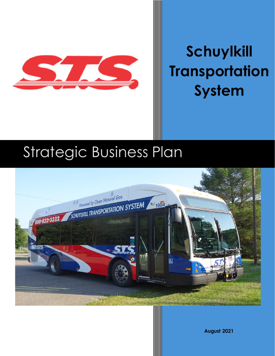

# **Schuylkill Transportation System**

# Strategic Business Plan



**August 2021**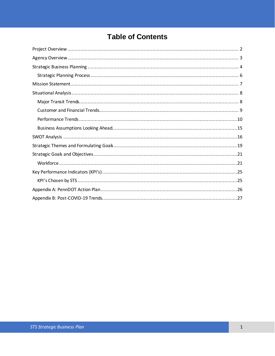# **Table of Contents**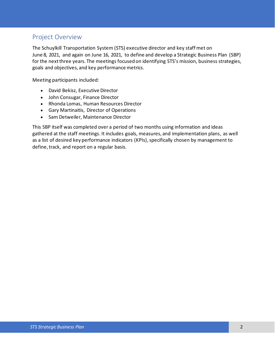# <span id="page-2-0"></span>Project Overview

The Schuylkill Transportation System (STS) executive director and key staff met on June 8, 2021, and again on June 16, 2021, to define and develop a Strategic Business Plan (SBP) for the next three years. The meetings focused on identifying STS's mission, business strategies, goals and objectives, and key performance metrics.

Meeting participants included:

- David Bekisz, Executive Director
- John Consugar, Finance Director
- Rhonda Lomas, Human Resources Director
- Gary Martinaitis, Director of Operations
- Sam Detweiler, Maintenance Director

This SBP itself was completed over a period of two months using information and ideas gathered at the staff meetings. It includes goals, measures, and implementation plans, as well as a list of desired key performance indicators (KPIs), specifically chosen by management to define, track, and report on a regular basis.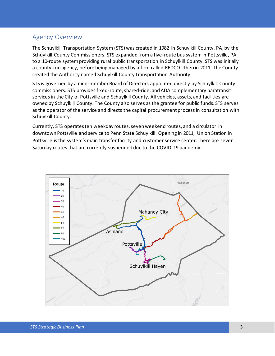# <span id="page-3-0"></span>Agency Overview

The Schuylkill Transportation System (STS) was created in 1982 in Schuylkill County, PA, by the Schuylkill County Commissioners. STS expanded from a five-route bus system in Pottsville, PA, to a 10-route system providing rural public transportation in Schuylkill County. STS was initially a county-run agency, before being managed by a firm called REDCO. Then in 2011, the County created the Authority named Schuylkill County Transportation Authority.

STS is governed by a nine-member Board of Directors appointed directly by Schuylkill County commissioners. STS provides fixed-route, shared-ride, and ADA complementary paratransit services in the City of Pottsville and Schuylkill County. All vehicles, assets, and facilities are owned by Schuylkill County. The County also serves as the grantee for public funds. STS serves as the operator of the service and directs the capital procurement process in consultation with Schuylkill County.

Currently, STS operates ten weekday routes, seven weekend routes, and a circulator in downtown Pottsville and service to Penn State Schuylkill. Opening in 2011, Union Station in Pottsville is the system's main transfer facility and customer service center. There are seven Saturday routes that are currently suspended due to the COVID-19 pandemic.

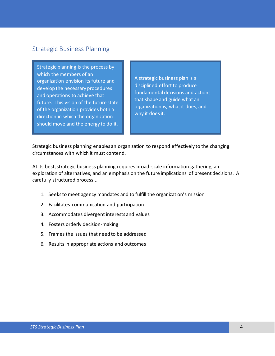# <span id="page-4-0"></span>Strategic Business Planning

Strategic planning is the process by which the members of an organization envision its future and develop the necessary procedures and operations to achieve that future. This vision of the future state of the organization provides both a direction in which the organization should move and the energy to do it.

A strategic business plan is a disciplined effort to produce fundamental decisions and actions that shape and guide what an organization is, what it does, and why it does it.

Strategic business planning enables an organization to respond effectively to the changing circumstances with which it must contend.

At its best, strategic business planning requires broad-scale information gathering, an exploration of alternatives, and an emphasis on the future implications of present decisions. A carefully structured process...

- 1. Seeks to meet agency mandates and to fulfill the organization's mission
- 2. Facilitates communication and participation
- 3. Accommodates divergent interests and values
- 4. Fosters orderly decision-making
- 5. Frames the issues that need to be addressed
- 6. Results in appropriate actions and outcomes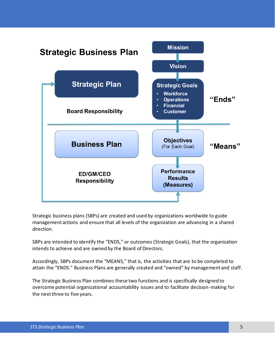

Strategic business plans (SBPs) are created and used by organizations worldwide to guide management actions and ensure that all levels of the organization are advancing in a shared direction.

SBPs are intended to identify the "ENDS," or outcomes (Strategic Goals), that the organization intends to achieve and are owned by the Board of Directors.

Accordingly, SBPs document the "MEANS," that is, the activities that are to be completed to attain the "ENDS." Business Plans are generally created and "owned" by management and staff.

The Strategic Business Plan combines these two functions and is specifically designed to overcome potential organizational accountability issues and to facilitate decision-making for the next three to five years.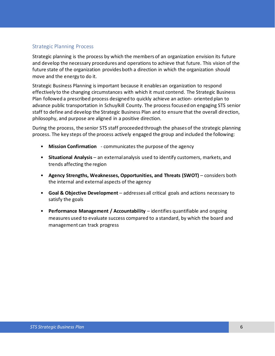## <span id="page-6-0"></span>Strategic Planning Process

Strategic planning is the process by which the members of an organization envision its future and develop the necessary procedures and operations to achieve that future. This vision of the future state of the organization provides both a direction in which the organization should move and the energy to do it.

Strategic Business Planning is important because it enables an organization to respond effectively to the changing circumstances with which it must contend. The Strategic Business Plan followed a prescribed process designed to quickly achieve an action‐ oriented plan to advance public transportation in Schuylkill County. The process focused on engaging STS senior staff to define and develop the Strategic Business Plan and to ensure that the overall direction, philosophy, and purpose are aligned in a positive direction.

During the process, the senior STS staff proceeded through the phases of the strategic planning process. The key steps of the process actively engaged the group and included the following:

- **Mission Confirmation** communicates the purpose of the agency
- **Situational Analysis** an external analysis used to identify customers, markets, and trends affecting the region
- **Agency Strengths, Weaknesses, Opportunities, and Threats (SWOT)** considers both the internal and external aspects of the agency
- **Goal & Objective Development** addresses all critical goals and actions necessary to satisfy the goals
- **Performance Management / Accountability** identifies quantifiable and ongoing measures used to evaluate success compared to a standard, by which the board and management can track progress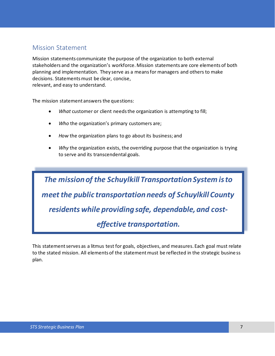# <span id="page-7-0"></span>Mission Statement

Mission statements communicate the purpose of the organization to both external stakeholders and the organization's workforce. Mission statements are core elements of both planning and implementation. They serve as a means for managers and others to make decisions. Statements must be clear, concise, relevant, and easy to understand.

The mission statement answers the questions:

- *What* customer or client needs the organization is attempting to fill;
- *Who* the organization's primary customers are;
- *How* the organization plans to go about its business; and
- *Why* the organization exists, the overriding purpose that the organization is trying to serve and its transcendental goals.

*The mission of the Schuylkill Transportation System is to meet the public transportation needs of Schuylkill County residents while providing safe, dependable, and costeffective transportation.*

This statement serves as a litmus test for goals, objectives, and measures. Each goal must relate to the stated mission. All elements of the statement must be reflected in the strategic busine ss plan.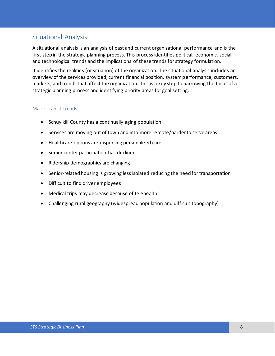# <span id="page-8-0"></span>Situational Analysis

A situational analysis is an analysis of past and current organizational performance and is the first step in the strategic planning process. This process identifies political, economic, social, and technological trends and the implications of these trends for strategy formulation.

It identifies the realities (or situation) of the organization. The situational analysis includes an overview of the services provided, current financial position, system performance, customers, markets, and trends that affect the organization. This is a key step to narrowing the focus of a strategic planning process and identifying priority areas for goal setting.

## <span id="page-8-1"></span>Major Transit Trends

- Schuylkill County has a continually aging population
- Services are moving out of town and into more remote/harder to serve areas
- Healthcare options are dispersing personalized care
- Senior center participation has declined
- Ridership demographics are changing
- Senior‐related housing is growing less isolated reducing the need for transportation
- Difficult to find driver employees
- Medical trips may decrease because of telehealth
- Challenging rural geography (widespread population and difficult topography)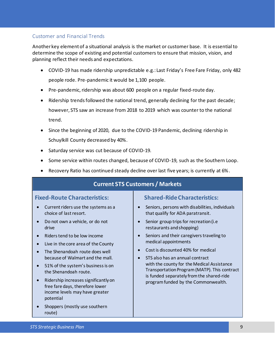## <span id="page-9-0"></span>Customer and Financial Trends

Another key element of a situational analysis is the market or customer base. It is essential to determine the scope of existing and potential customers to ensure that mission, vision, and planning reflect their needs and expectations.

- COVID-19 has made ridership unpredictable e.g.: Last Friday's Free Fare Friday, only 482 people rode. Pre-pandemic it would be 1,100 people.
- Pre-pandemic, ridership was about 600 people on a regular fixed-route day.
- Ridership trends followed the national trend, generally declining for the past decade; however, STS saw an increase from 2018 to 2019 which was counter to the national trend.
- Since the beginning of 2020, due to the COVID-19 Pandemic, declining ridership in Schuylkill County decreased by 40%.
- Saturday service was cut because of COVID-19.
- Some service within routes changed, because of COVID-19, such as the Southern Loop.
- Recovery Ratio has continued steady decline over last five years; is currently at 6%.

# **Current STS Customers / Markets**

## **Fixed-Route Characteristics:**

- Current riders use the systems as a choice of last resort.
- Do not own a vehicle, or do not drive
- Riders tend to be low income
- Live in the core area of the County
- The Shenandoah route does well because of Walmart and the mall.
- 51% of the system's business is on the Shenandoah route.
- Ridership increases significantly on free fare days, therefore lower income levels may have greater potential
- Shoppers (mostly use southern route)

## **Shared-Ride Characteristics:**

- Seniors, persons with disabilities, individuals that qualify for ADA paratransit.
- Senior group trips for recreation (i.e restaurants and shopping)
- Seniors and their caregivers traveling to medical appointments
- Cost is discounted 40% for medical
- STS also has an annual contract with the county for the Medical Assistance Transportation Program(MATP). This contract is funded separately from the shared-ride program funded by the Commonwealth.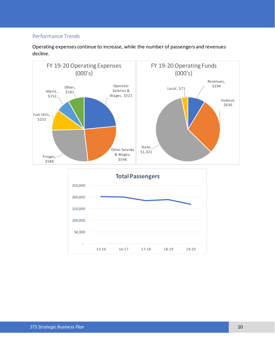## <span id="page-10-0"></span>Performance Trends

Operating expenses continue to increase, while the number of passengers and revenues decline.

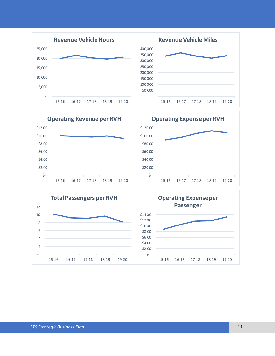



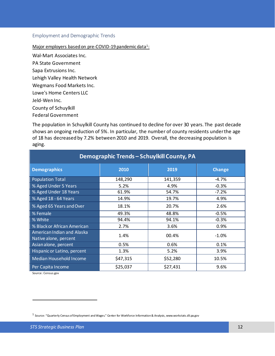#### Employment and Demographic Trends

#### Major employers based on pre-COVID-19 pandemic data<sup>1</sup>:

Wal-Mart Associates Inc.

PA State Government

Sapa Extrusions Inc.

Lehigh Valley Health Network

Wegmans Food Markets Inc.

Lowe's Home Centers LLC

Jeld-Wen Inc.

County of Schuylkill

Federal Government

The population in Schuylkill County has continued to decline for over 30 years. The past decade shows an ongoing reduction of 5%. In particular, the number of county residents under the age of 18 has decreased by 7.2% between 2010 and 2019. Overall, the decreasing population is aging.

| Demographic Trends - Schuylkill County, PA                 |          |          |               |  |  |
|------------------------------------------------------------|----------|----------|---------------|--|--|
| <b>Demographics</b>                                        | 2010     | 2019     | <b>Change</b> |  |  |
| <b>Population Total</b>                                    | 148,290  | 141,359  | $-4.7%$       |  |  |
| % Aged Under 5 Years                                       | 5.2%     | 4.9%     | $-0.3%$       |  |  |
| % Aged Under 18 Years                                      | 61.9%    | 54.7%    | $-7.2%$       |  |  |
| % Aged 18 - 64 Years                                       | 14.9%    | 19.7%    | 4.9%          |  |  |
| % Aged 65 Years and Over                                   | 18.1%    | 20.7%    | 2.6%          |  |  |
| % Female                                                   | 49.3%    | 48.8%    | $-0.5%$       |  |  |
| % White                                                    | 94.4%    | 94.1%    | $-0.3%$       |  |  |
| % Black or African American                                | 2.7%     | 3.6%     | 0.9%          |  |  |
| <b>American Indian and Alaska</b><br>Native alone, percent | 1.4%     | 00.4%    | $-1.0%$       |  |  |
| Asian alone, percent                                       | 0.5%     | 0.6%     | 0.1%          |  |  |
| Hispanic or Latino, percent                                | 1.3%     | 5.2%     | 3.9%          |  |  |
| Median Household Income                                    | \$47,315 | \$52,280 | 10.5%         |  |  |
| Per Capita Income                                          | \$25,037 | \$27,431 | 9.6%          |  |  |

Source: Census.gov

<sup>1</sup> Source: "Quarterly Census of Employment and Wages." Center for Workforce Information & Analysis, www.workstats.dli.pa.gov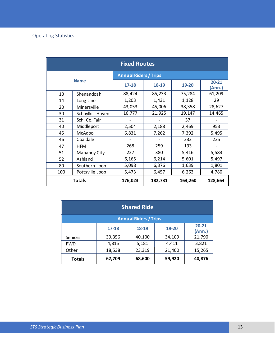| <b>Fixed Routes</b> |                  |                              |         |         |                     |
|---------------------|------------------|------------------------------|---------|---------|---------------------|
|                     |                  | <b>Annual Riders / Trips</b> |         |         |                     |
|                     | <b>Name</b>      | $17 - 18$                    | 18-19   | 19-20   | $20 - 21$<br>(Ann.) |
| 10                  | Shenandoah       | 88,424                       | 85,233  | 75,284  | 61,209              |
| 14                  | Long Line        | 1,203                        | 1,431   | 1,128   | 29                  |
| 20                  | Minersville      | 43,053                       | 45,006  | 38,358  | 28,627              |
| 30                  | Schuylkill Haven | 16,777                       | 21,925  | 19,147  | 14,465              |
| 31                  | Sch. Co. Fair    |                              |         | 37      |                     |
| 40                  | Middleport       | 2,504                        | 2,188   | 2,469   | 953                 |
| 45                  | McAdoo           | 6,831                        | 7,262   | 7,392   | 5,495               |
| 46                  | Coaldale         |                              |         | 333     | 225                 |
| 47                  | <b>HFM</b>       | 268                          | 259     | 193     |                     |
| 51                  | Mahanoy City     | 227                          | 380     | 5,416   | 5,583               |
| 52                  | Ashland          | 6,165                        | 6,214   | 5,601   | 5,497               |
| 80                  | Southern Loop    | 5,098                        | 6,376   | 1,639   | 1,801               |
| 100                 | Pottsville Loop  | 5,473                        | 6,457   | 6,263   | 4,780               |
|                     | Totals           | 176,023                      | 182,731 | 163,260 | 128,664             |

| <b>Shared Ride</b> |                              |        |        |                     |  |  |
|--------------------|------------------------------|--------|--------|---------------------|--|--|
|                    | <b>Annual Riders / Trips</b> |        |        |                     |  |  |
|                    | $17 - 18$                    | 18-19  | 19-20  | $20 - 21$<br>(Ann.) |  |  |
| <b>Seniors</b>     | 39,356                       | 40,100 | 34,109 | 21,790              |  |  |
| <b>PWD</b>         | 4,815                        | 5,181  | 4,411  | 3,821               |  |  |
| Other              | 18,538                       | 23,319 | 21,400 | 15,265              |  |  |
| <b>Totals</b>      | 62,709                       | 68,600 | 59,920 | 40,876              |  |  |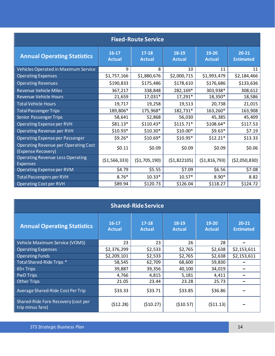| <b>Fixed-Route Service</b>                                        |                          |                            |                        |                        |                               |  |
|-------------------------------------------------------------------|--------------------------|----------------------------|------------------------|------------------------|-------------------------------|--|
| <b>Annual Operating Statistics</b>                                | $16-17$<br><b>Actual</b> | $17 - 18$<br><b>Actual</b> | 18-19<br><b>Actual</b> | 19-20<br><b>Actual</b> | $20 - 21$<br><b>Estimated</b> |  |
| Vehicles Operated in Maximum Service                              | 9                        | 8                          | 10                     | 11                     | 11                            |  |
| <b>Operating Expenses</b>                                         | \$1,757,166              | \$1,880,676                | \$2,000,715            | \$1,993,479            | \$2,184,466                   |  |
| <b>Operating Revenues</b>                                         | \$190,833                | \$175,486                  | \$178,610              | \$176,686              | \$133,636                     |  |
| <b>Revenue Vehicle Miles</b>                                      | 367,217                  | 338,848                    | 282,169*               | 303,938*               | 308,612                       |  |
| <b>Revenue Vehicle Hours</b>                                      | 21,659                   | 17,031*                    | 17,291*                | 18,350*                | 18,586                        |  |
| <b>Total Vehicle Hours</b>                                        | 19,717                   | 19,258                     | 19,513                 | 20,738                 | 21,015                        |  |
| <b>Total Passenger Trips</b>                                      | 189,806*                 | 175,968*                   | 182,731*               | 163,260*               | 163,908                       |  |
| <b>Senior Passenger Trips</b>                                     | 58,641                   | 52,868                     | 56,030                 | 45,385                 | 45,409                        |  |
| Operating Expense per RVH                                         | $$81.13*$                | $$110.43*$                 | $$115.71*$             | $$108.64*$             | \$117.53                      |  |
| <b>Operating Revenue per RVH</b>                                  | $$10.93*$                | $$10.30*$                  | $$10.00*$              | $$9.63*$               | \$7.19                        |  |
| <b>Operating Expense per Passenger</b>                            | $$9.26*$                 | $$10.69*$                  | \$10.95*               | $$12.21*$              | \$13.33                       |  |
| <b>Operating Revenue per Operating Cost</b><br>(Expense Recovery) | \$0.11                   | \$0.09                     | \$0.09                 | \$0.09                 | \$0.06                        |  |
| <b>Operating Revenue Less Operating</b><br><b>Expenses</b>        | ( \$1,566,333)           | (51, 705, 190)             | (51,822105)            | ( \$1,816,793)         | (52,050,830)                  |  |
| <b>Operating Expense per RVM</b>                                  | \$4.79                   | \$5.55                     | \$7.09                 | \$6.56                 | \$7.08                        |  |
| <b>Total Passengers per RVH</b>                                   | $8.76*$                  | $10.33*$                   | $10.57*$               | $8.90*$                | 8.82                          |  |
| <b>Operating Cost per RVH</b>                                     | \$89.94                  | \$120.73                   | \$126.04               | \$118.27               | \$124.72                      |  |

| <b>Shared-Ride Service</b>                              |                          |                          |                        |                        |                               |  |
|---------------------------------------------------------|--------------------------|--------------------------|------------------------|------------------------|-------------------------------|--|
| <b>Annual Operating Statistics</b>                      | $16-17$<br><b>Actual</b> | $17-18$<br><b>Actual</b> | 18-19<br><b>Actual</b> | 19-20<br><b>Actual</b> | $20 - 21$<br><b>Estimated</b> |  |
| Vehicle Maximum Service (VOMS)                          | 23                       | 23                       | 26                     | 28                     |                               |  |
| <b>Operating Expenses</b>                               | \$2,376,299              | \$2,533                  | \$2,765                | \$2,638                | \$2,153,611                   |  |
| <b>Operating Funds</b>                                  | \$2,209,101              | \$2,533                  | \$2,765                | \$2,638                | \$2,153,611                   |  |
| Total Shared-Ride Trips *                               | 58,545                   | 62,709                   | 68,600                 | 59,830                 |                               |  |
| 65+ Trips                                               | 39,887                   | 39,356                   | 40,100                 | 34,019                 |                               |  |
| <b>PwD Trips</b>                                        | 4,766                    | 4,815                    | 5,181                  | 4,411                  |                               |  |
| <b>Other Trips</b>                                      | 21.05                    | 23.44                    | 23.28                  | 25.73                  |                               |  |
| Average Shared-Ride Cost Per Trip                       | \$33.33                  | \$33.71                  | \$33.85                | \$36.86                |                               |  |
| Shared-Ride Fare Recovery (cost per<br>trip minus fare) | (512.28)                 | (510.27)                 | (510.57)               | (511.13)               |                               |  |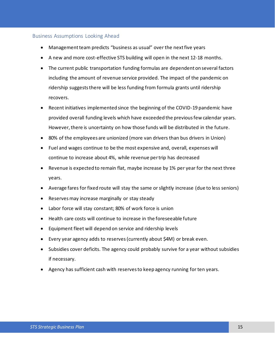#### <span id="page-15-0"></span>Business Assumptions Looking Ahead

- Management team predicts "business as usual" over the next five years
- A new and more cost-effective STS building will open in the next 12-18 months.
- The current public transportation funding formulas are dependent on several factors including the amount of revenue service provided. The impact of the pandemic on ridership suggests there will be less funding from formula grants until ridership recovers.
- Recent initiatives implemented since the beginning of the COVID-19 pandemic have provided overall funding levels which have exceeded the previous few calendar years. However, there is uncertainty on how those funds will be distributed in the future.
- 80% of the employees are unionized (more van drivers than bus drivers in Union)
- Fuel and wages continue to be the most expensive and, overall, expenses will continue to increase about 4%, while revenue per trip has decreased
- Revenue is expected to remain flat, maybe increase by 1% per year for the next three years.
- Average fares for fixed route will stay the same or slightly increase (due to less seniors)
- Reservesmay increase marginally or stay steady
- Labor force will stay constant; 80% of work force is union
- Health care costs will continue to increase in the foreseeable future
- Equipment fleet will depend on service and ridership levels
- Every year agency adds to reserves(currently about \$4M) or break even.
- Subsidies cover deficits. The agency could probably survive for a year without subsidies if necessary.
- Agency has sufficient cash with reserves to keep agency running for ten years.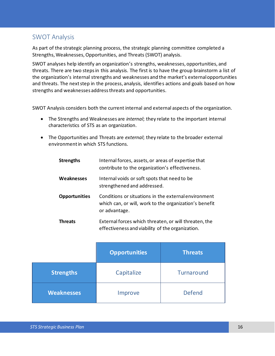# <span id="page-16-0"></span>SWOT Analysis

As part of the strategic planning process, the strategic planning committee completed a Strengths, Weaknesses, Opportunities, and Threats (SWOT) analysis.

SWOT analyses help identify an organization's strengths, weaknesses, opportunities, and threats. There are two steps in this analysis. The first is to have the group brainstorm a list of the organization's internal strengths and weaknesses and the market's external opportunities and threats. The next step in the process, analysis, identifies actions and goals based on how strengths and weaknesses address threats and opportunities.

SWOT Analysis considers both the current internal and external aspects of the organization.

- The Strengths and Weaknesses are *internal*; they relate to the important internal characteristics of STS as an organization.
- The Opportunities and Threats are *external*; they relate to the broader external environment in which STS functions.

| <b>Strengths</b>     | Internal forces, assets, or areas of expertise that<br>contribute to the organization's effectiveness.                          |
|----------------------|---------------------------------------------------------------------------------------------------------------------------------|
| <b>Weaknesses</b>    | Internal voids or soft spots that need to be<br>strengthened and addressed.                                                     |
| <b>Opportunities</b> | Conditions or situations in the external environment<br>which can, or will, work to the organization's benefit<br>or advantage. |
| <b>Threats</b>       | External forces which threaten, or will threaten, the<br>effectiveness and viability of the organization.                       |

|                   | <b>Opportunities</b> | <b>Threats</b> |
|-------------------|----------------------|----------------|
| <b>Strengths</b>  | Capitalize           | Turnaround     |
| <b>Weaknesses</b> | Improve              | <b>Defend</b>  |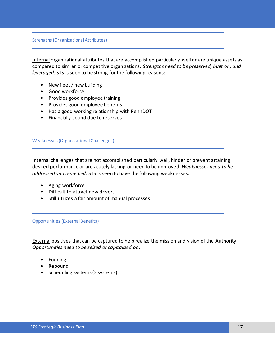#### Strengths (Organizational Attributes)

Internal organizational attributes that are accomplished particularly well or are unique assets as compared to similar or competitive organizations. *Strengths need to be preserved, built on, and leveraged.* STS is seen to be strong for the following reasons:

- New fleet / new building
- Good workforce
- Provides good employee training
- Provides good employee benefits
- Has a good working relationship with PennDOT
- Financially sound due to reserves

#### Weaknesses (Organizational Challenges)

Internal challenges that are not accomplished particularly well, hinder or prevent attaining desired performance or are acutely lacking or need to be improved. *Weaknesses need to be addressed and remedied.* STS is seen to have the following weaknesses:

- Aging workforce
- Difficult to attract new drivers
- Still utilizes a fair amount of manual processes

#### Opportunities (External Benefits)

External positives that can be captured to help realize the mission and vision of the Authority. *Opportunities need to be seized or capitalized on:*

- Funding
- Rebound
- Scheduling systems (2 systems)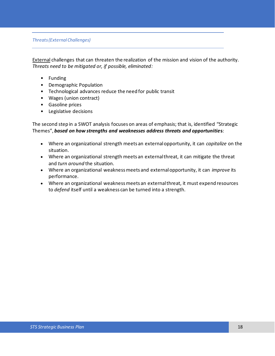*Threats (External Challenges)*

External challenges that can threaten the realization of the mission and vision of the authority. *Threats need to be mitigated or, if possible, eliminated:*

- Funding
- Demographic Population
- Technological advances reduce the need for public transit
- Wages (union contract)
- Gasoline prices
- Legislative decisions

The second step in a SWOT analysis focuses on areas of emphasis; that is, identified "Strategic Themes", *based on how strengths and weaknesses address threats and opportunitie***s**:

- Where an organizational strength meets an external opportunity, it can *capitalize* on the situation.
- Where an organizational strength meets an external threat, it can mitigate the threat and *turn around* the situation.
- Where an organizational weakness meets and external opportunity, it can *improve* its performance.
- <span id="page-18-0"></span>• Where an organizational weakness meets an external threat, it must expend resources to *defend* itself until a weakness can be turned into a strength.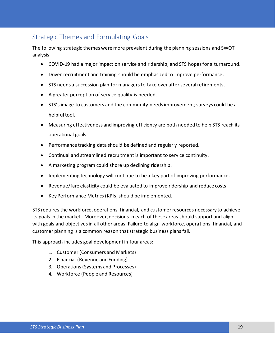# Strategic Themes and Formulating Goals

The following strategic themes were more prevalent during the planning sessions and SWOT analysis:

- COVID-19 had a major impact on service and ridership, and STS hopes for a turnaround.
- Driver recruitment and training should be emphasized to improve performance.
- STS needs a succession plan for managers to take over after several retirements.
- A greater perception of service quality is needed.
- STS's image to customers and the community needs improvement; surveys could be a helpful tool.
- Measuring effectiveness and improving efficiency are both needed to help STS reach its operational goals.
- Performance tracking data should be defined and regularly reported.
- Continual and streamlined recruitment is important to service continuity.
- A marketing program could shore up declining ridership.
- Implementing technology will continue to be a key part of improving performance.
- Revenue/fare elasticity could be evaluated to improve ridership and reduce costs.
- Key Performance Metrics (KPIs) should be implemented.

STS requires the workforce, operations, financial, and customer resources necessary to achieve its goals in the market. Moreover, decisions in each of these areas should support and align with goals and objectives in all other areas. Failure to align workforce, operations, financial, and customer planning is a common reason that strategic business plans fail.

This approach includes goal development in four areas:

- 1. Customer (Consumers and Markets)
- 2. Financial (Revenue and Funding)
- 3. Operations (Systems and Processes)
- 4. Workforce (People and Resources)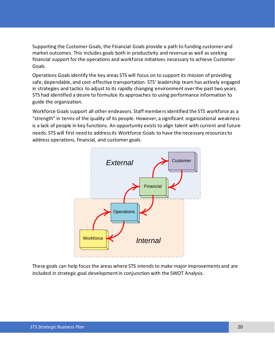Supporting the Customer Goals, the Financial Goals provide a path to funding customer and market outcomes. This includes goals both in productivity and revenue as well as seeking financial support for the operations and workforce initiatives necessary to achieve Customer Goals.

Operations Goals identify the key areas STS will focus on to support its mission of providing safe, dependable, and cost-effective transportation. STS' leadership team has actively engaged in strategies and tactics to adjust to its rapidly changing environment over the past two years. STS had identified a desire to formulize its approaches to using performance information to guide the organization.

Workforce Goals support all other endeavors. Staff members identified the STS workforce as a "strength" in terms of the quality of its people. However, a significant organizational weakness is a lack of people in key functions. An opportunity exists to align talent with current and future needs. STS will first need to address its Workforce Goals to have the necessary resources to address operations, financial, and customer goals.



These goals can help focus the areas where STS intends to make major improvements and are included in strategic goal development in conjunction with the SWOT Analysis.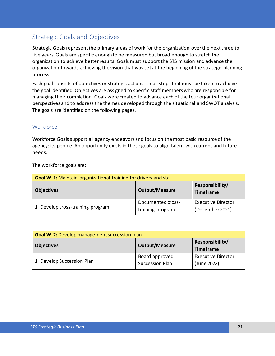# <span id="page-21-0"></span>Strategic Goals and Objectives

Strategic Goals represent the primary areas of work for the organization over the next three to five years. Goals are specific enough to be measured but broad enough to stretch the organization to achieve better results. Goals must support the STS mission and advance the organization towards achieving the vision that was set at the beginning of the strategic planning process.

Each goal consists of objectives or strategic actions, small steps that must be taken to achieve the goal identified. Objectives are assigned to specific staff members who are responsible for managing their completion. Goals were created to advance each of the four organizational perspectives and to address the themes developed through the situational and SWOT analysis. The goals are identified on the following pages.

## <span id="page-21-1"></span>**Workforce**

Workforce Goals support all agency endeavors and focus on the most basic resource of the agency: its people. An opportunity exists in these goals to align talent with current and future needs.

The workforce goals are:

| <b>Goal W-1:</b> Maintain organizational training for drivers and staff |                                       |                                              |  |  |
|-------------------------------------------------------------------------|---------------------------------------|----------------------------------------------|--|--|
| <b>Objectives</b>                                                       | <b>Output/Measure</b>                 | Responsibility/<br><b>Timeframe</b>          |  |  |
| 1. Develop cross-training program                                       | Documented cross-<br>training program | <b>Executive Director</b><br>(December 2021) |  |  |

| <b>Goal W-2: Develop management succession plan</b> |                                                              |                                          |  |  |
|-----------------------------------------------------|--------------------------------------------------------------|------------------------------------------|--|--|
| <b>Objectives</b>                                   | Responsibility/<br><b>Output/Measure</b><br><b>Timeframe</b> |                                          |  |  |
| 1. Develop Succession Plan                          | Board approved<br><b>Succession Plan</b>                     | <b>Executive Director</b><br>(June 2022) |  |  |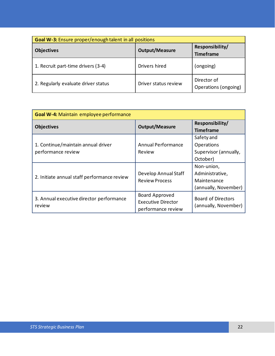| <b>Goal W-3:</b> Ensure proper/enough talent in all positions |                       |                                     |  |  |
|---------------------------------------------------------------|-----------------------|-------------------------------------|--|--|
| <b>Objectives</b>                                             | <b>Output/Measure</b> | Responsibility/<br><b>Timeframe</b> |  |  |
| 1. Recruit part-time drivers (3-4)                            | Drivers hired         | (ongoing)                           |  |  |
| 2. Regularly evaluate driver status                           | Driver status review  | Director of<br>Operations (ongoing) |  |  |

| Goal W-4: Maintain employee performance                  |                                                                   |                                                                      |  |  |
|----------------------------------------------------------|-------------------------------------------------------------------|----------------------------------------------------------------------|--|--|
| <b>Objectives</b>                                        | <b>Output/Measure</b>                                             | Responsibility/<br><b>Timeframe</b>                                  |  |  |
| 1. Continue/maintain annual driver<br>performance review | Annual Performance<br>Review                                      | Safety and<br>Operations<br>Supervisor (annually,<br>October)        |  |  |
| 2. Initiate annual staff performance review              | Develop Annual Staff<br><b>Review Process</b>                     | Non-union,<br>Administrative,<br>Maintenance<br>(annually, November) |  |  |
| 3. Annual executive director performance<br>review       | Board Approved<br><b>Executive Director</b><br>performance review | <b>Board of Directors</b><br>(annually, November)                    |  |  |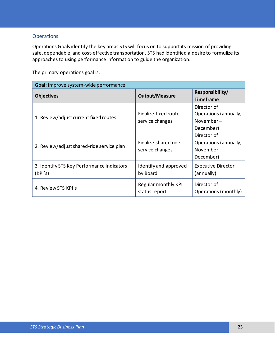## **Operations**

Operations Goals identify the key areas STS will focus on to support its mission of providing safe, dependable, and cost-effective transportation. STS had identified a desire to formulize its approaches to using performance information to guide the organization.

The primary operations goal is:

| Goal: Improve system-wide performance                 |                       |                           |  |  |
|-------------------------------------------------------|-----------------------|---------------------------|--|--|
|                                                       |                       | Responsibility/           |  |  |
| <b>Objectives</b>                                     | <b>Output/Measure</b> | <b>Timeframe</b>          |  |  |
|                                                       |                       | Director of               |  |  |
| 1. Review/adjust current fixed routes                 | Finalize fixed route  | Operations (annually,     |  |  |
|                                                       | service changes       | November-                 |  |  |
|                                                       |                       | December)                 |  |  |
| 2. Review/adjust shared-ride service plan             |                       | Director of               |  |  |
|                                                       | Finalize shared ride  | Operations (annually,     |  |  |
|                                                       | service changes       | November-                 |  |  |
|                                                       |                       | December)                 |  |  |
| 3. Identify STS Key Performance Indicators<br>(KPI's) | Identify and approved | <b>Executive Director</b> |  |  |
|                                                       | by Board              | (annually)                |  |  |
| 4. Review STS KPI's                                   | Regular monthly KPI   | Director of               |  |  |
|                                                       | status report         | Operations (monthly)      |  |  |
|                                                       |                       |                           |  |  |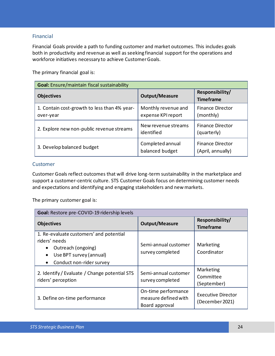## Financial

Financial Goals provide a path to funding customer and market outcomes. This includes goals both in productivity and revenue as well as seeking financial support for the operations and workforce initiatives necessary to achieve Customer Goals.

The primary financial goal is:

| Goal: Ensure/maintain fiscal sustainability               |                                           |                                              |  |  |
|-----------------------------------------------------------|-------------------------------------------|----------------------------------------------|--|--|
| <b>Objectives</b>                                         | <b>Output/Measure</b>                     | Responsibility/<br><b>Timeframe</b>          |  |  |
| 1. Contain cost-growth to less than 4% year-<br>over-year | Monthly revenue and<br>expense KPI report | <b>Finance Director</b><br>(monthly)         |  |  |
| 2. Explore new non-public revenue streams                 | New revenue streams<br>identified         | <b>Finance Director</b><br>(quarterly)       |  |  |
| 3. Develop balanced budget                                | Completed annual<br>balanced budget       | <b>Finance Director</b><br>(April, annually) |  |  |

### Customer

Customer Goals reflect outcomes that will drive long-term sustainability in the marketplace and support a customer-centric culture. STS Customer Goals focus on determining customer needs and expectations and identifying and engaging stakeholders and new markets.

The primary customer goal is:

| Goal: Restore pre-COVID-19 ridership levels                                                                                           |                                                               |                                              |  |  |
|---------------------------------------------------------------------------------------------------------------------------------------|---------------------------------------------------------------|----------------------------------------------|--|--|
| <b>Objectives</b>                                                                                                                     | <b>Output/Measure</b>                                         | Responsibility/<br><b>Timeframe</b>          |  |  |
| 1. Re-evaluate customers' and potential<br>riders' needs<br>Outreach (ongoing)<br>Use BPT survey (annual)<br>Conduct non-rider survey | Semi-annual customer<br>survey completed                      | Marketing<br>Coordinator                     |  |  |
| 2. Identify / Evaluate / Change potential STS<br>riders' perception                                                                   | Semi-annual customer<br>survey completed                      | Marketing<br>Committee<br>(September)        |  |  |
| 3. Define on-time performance                                                                                                         | On-time performance<br>measure defined with<br>Board approval | <b>Executive Director</b><br>(December 2021) |  |  |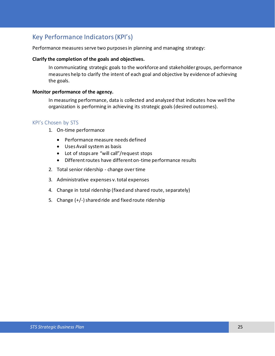# <span id="page-25-0"></span>Key Performance Indicators (KPI's)

Performance measures serve two purposes in planning and managing strategy:

#### **Clarify the completion of the goals and objectives.**

In communicating strategic goals to the workforce and stakeholder groups, performance measures help to clarify the intent of each goal and objective by evidence of achieving the goals.

#### **Monitor performance of the agency.**

In measuring performance, data is collected and analyzed that indicates how well the organization is performing in achieving its strategic goals (desired outcomes).

### <span id="page-25-1"></span>KPI's Chosen by STS

- 1. On-time performance
	- Performance measure needs defined
	- Uses Avail system as basis
	- Lot of stops are "will call"/request stops
	- Different routes have different on-time performance results
- 2. Total senior ridership change over time
- 3. Administrative expenses v. total expenses
- 4. Change in total ridership (fixed and shared route, separately)
- 5. Change  $(+/-)$  shared ride and fixed route ridership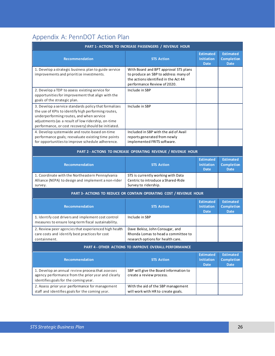# <span id="page-26-0"></span>Appendix A: PennDOT Action Plan

| PART 1- ACTIONS TO INCREASE PASSENGERS / REVENUE HOUR                                                                                                                                                                                                                 |                                                                                                                                                      |                                                      |                                                      |  |
|-----------------------------------------------------------------------------------------------------------------------------------------------------------------------------------------------------------------------------------------------------------------------|------------------------------------------------------------------------------------------------------------------------------------------------------|------------------------------------------------------|------------------------------------------------------|--|
| <b>Recommendation</b>                                                                                                                                                                                                                                                 | <b>STS Action</b>                                                                                                                                    | <b>Estimated</b><br><b>Initiation</b><br><b>Date</b> | <b>Estimated</b><br><b>Completion</b><br><b>Date</b> |  |
| 1. Develop a strategic business plan to guide service<br>improvements and prioritize investments.                                                                                                                                                                     | With Board and BPT approval STS plans<br>to produce an SBP to address many of<br>the actions identified in the Act 44<br>performance Review of 2020. |                                                      |                                                      |  |
| 2. Develop a TDP to assess existing service for<br>opportunities for improvement that align with the<br>goals of the strategic plan.                                                                                                                                  | Include in SBP                                                                                                                                       |                                                      |                                                      |  |
| 3. Develop a service standards policy that formalizes<br>the use of KPIs to identify high performing routes,<br>underperforming routes, and when service<br>adjustments (as a result of low ridership, on-time<br>performance, or cost recovery) should be initiated. | Include in SBP                                                                                                                                       |                                                      |                                                      |  |
| 4. Develop systemwide and route-based on-time<br>performance goals; reevaluate existing time points<br>for opportunities to improve schedule adherence.                                                                                                               | Included in SBP with the aid of Avail<br>reports generated from newly<br>implemented FRITS software.                                                 |                                                      |                                                      |  |
|                                                                                                                                                                                                                                                                       | PART 2 - ACTIONS TO INCREASE OPERATING REVENUE / REVENUE HOUR                                                                                        |                                                      |                                                      |  |
| Recommendation                                                                                                                                                                                                                                                        | <b>STS Action</b>                                                                                                                                    | <b>Estimated</b><br><b>Initiation</b><br><b>Date</b> | <b>Estimated</b><br><b>Completion</b><br><b>Date</b> |  |
| 1. Coordinate with the Northeastern Pennsylvania<br>Alliance (NEPA) to design and implement a non-rider<br>survey.                                                                                                                                                    | STS is currently working with Data<br>Centric to introduce a Shared-Ride<br>Survey to ridership.                                                     |                                                      |                                                      |  |
| PART 3- ACTIONS TO REDUCE OR CONTAIN OPERATING COST / REVENUE HOUR                                                                                                                                                                                                    |                                                                                                                                                      |                                                      |                                                      |  |
| Recommendation                                                                                                                                                                                                                                                        | <b>STS Action</b>                                                                                                                                    | <b>Estimated</b><br><b>Initiation</b><br><b>Date</b> | <b>Estimated</b><br><b>Completion</b><br><b>Date</b> |  |
| 1. Identify cost drivers and implement cost control<br>measures to ensure long-term fiscal sustainability.                                                                                                                                                            | Include in SBP                                                                                                                                       |                                                      |                                                      |  |
| 2. Review peer agencies that experienced high health<br>care costs and identify best practices for cost<br>containment.                                                                                                                                               | Dave Bekisz, John Consugar, and<br>Rhonda Lomas to head a committee to<br>research options for health care.                                          |                                                      |                                                      |  |
| <b>PART 4 - OTHER ACTIONS TO IMPROVE OVERALL PERFORMANCE</b>                                                                                                                                                                                                          |                                                                                                                                                      |                                                      |                                                      |  |
| Recommendation                                                                                                                                                                                                                                                        | <b>STS Action</b>                                                                                                                                    | <b>Estimated</b><br><b>Initiation</b><br><b>Date</b> | <b>Estimated</b><br><b>Completion</b><br><b>Date</b> |  |
| 1. Develop an annual review process that assesses<br>agency performance from the prior year and clearly<br>identifies goals for the coming year.                                                                                                                      | SBP will give the Board information to<br>create a review process.                                                                                   |                                                      |                                                      |  |
| 2. Assess prior year performance for management<br>staff and identifies goals for the coming year.                                                                                                                                                                    | With the aid of the SBP management<br>will work with HR to create goals.                                                                             |                                                      |                                                      |  |